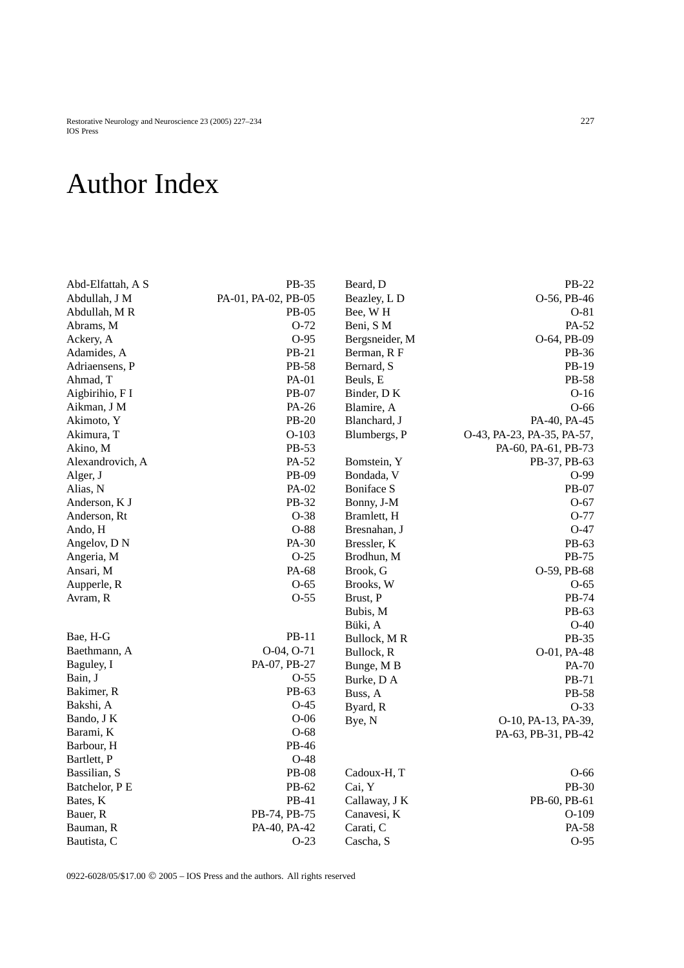Restorative Neurology and Neuroscience 23 (2005) 227–234 227 IOS Press

## Author Index

| Abd-Elfattah, A S | PB-35               | Beard, D          | PB-22                      |
|-------------------|---------------------|-------------------|----------------------------|
| Abdullah, J M     | PA-01, PA-02, PB-05 | Beazley, L D      | O-56, PB-46                |
| Abdullah, MR      | <b>PB-05</b>        | Bee, WH           | $O-81$                     |
| Abrams, M         | $O-72$              | Beni, S M         | PA-52                      |
| Ackery, A         | $O-95$              | Bergsneider, M    | O-64, PB-09                |
| Adamides, A       | PB-21               | Berman, R F       | PB-36                      |
| Adriaensens, P    | PB-58               | Bernard, S        | PB-19                      |
| Ahmad, T          | PA-01               | Beuls, E          | PB-58                      |
| Aigbirihio, F I   | PB-07               | Binder, DK        | $O-16$                     |
| Aikman, J M       | PA-26               | Blamire, A        | $O-66$                     |
| Akimoto, Y        | PB-20               | Blanchard, J      | PA-40, PA-45               |
| Akimura, T        | $O-103$             | Blumbergs, P      | O-43, PA-23, PA-35, PA-57, |
| Akino, M          | PB-53               |                   | PA-60, PA-61, PB-73        |
| Alexandrovich, A  | PA-52               | Bomstein, Y       | PB-37, PB-63               |
| Alger, J          | PB-09               | Bondada, V        | O-99                       |
| Alias, N          | PA-02               | <b>Boniface S</b> | PB-07                      |
| Anderson, K J     | PB-32               | Bonny, J-M        | $O-67$                     |
| Anderson, Rt      | $O-38$              | Bramlett, H       | O-77                       |
| Ando, H           | $O-88$              | Bresnahan, J      | $O-47$                     |
| Angelov, DN       | PA-30               | Bressler, K       | PB-63                      |
| Angeria, M        | $O-25$              | Brodhun, M        | PB-75                      |
| Ansari, M         | PA-68               | Brook, G          | O-59, PB-68                |
| Aupperle, R       | $O-65$              | Brooks, W         | $O-65$                     |
| Avram, R          | $O-55$              | Brust, P          | PB-74                      |
|                   |                     | Bubis, M          | PB-63                      |
|                   |                     | Büki, A           | $O-40$                     |
| Bae, H-G          | PB-11               | Bullock, MR       | PB-35                      |
| Baethmann, A      | O-04, O-71          | Bullock, R        | O-01, PA-48                |
| Baguley, I        | PA-07, PB-27        | Bunge, MB         | PA-70                      |
| Bain, J           | $O-55$              | Burke, D A        | PB-71                      |
| Bakimer, R        | PB-63               | Buss, A           | PB-58                      |
| Bakshi, A         | $O-45$              | Byard, R          | $O-33$                     |
| Bando, J K        | $O-06$              | Bye, N            | O-10, PA-13, PA-39,        |
| Barami, K         | $O-68$              |                   | PA-63, PB-31, PB-42        |
| Barbour, H        | PB-46               |                   |                            |
| Bartlett, P       | $O-48$              |                   |                            |
| Bassilian, S      | <b>PB-08</b>        | Cadoux-H, T       | O-66                       |
| Batchelor, PE     | PB-62               | Cai, Y            | PB-30                      |
| Bates, K          | PB-41               | Callaway, J K     | PB-60, PB-61               |
| Bauer, R          | PB-74, PB-75        | Canavesi, K       | $O-109$                    |
| Bauman, R         | PA-40, PA-42        | Carati, C         | PA-58                      |
| Bautista, C       | $O-23$              | Cascha, S         | $O-95$                     |

0922-6028/05/\$17.00 © 2005 – IOS Press and the authors. All rights reserved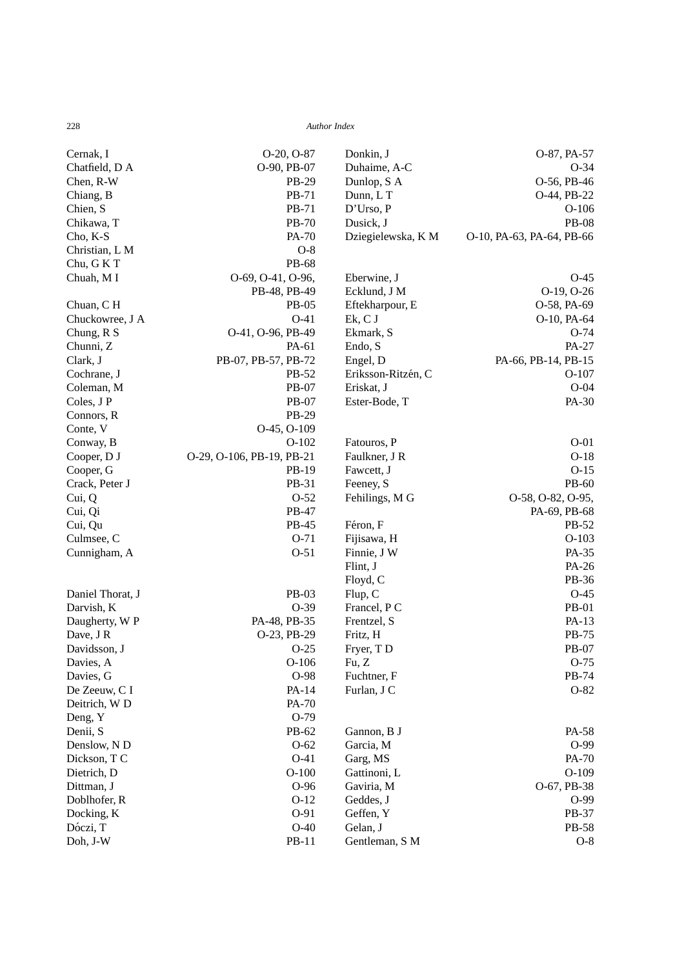| Cernak, I        | $O-20$ , $O-87$           | Donkin, J          | O-87, PA-57               |
|------------------|---------------------------|--------------------|---------------------------|
| Chatfield, D A   | O-90, PB-07               | Duhaime, A-C       | $O-34$                    |
| Chen, R-W        | PB-29                     | Dunlop, S A        | O-56, PB-46               |
| Chiang, B        | PB-71                     | Dunn, LT           | O-44, PB-22               |
| Chien, S         | PB-71                     | D'Urso, P          | $O-106$                   |
| Chikawa, T       | <b>PB-70</b>              | Dusick, J          | <b>PB-08</b>              |
| Cho, K-S         | PA-70                     | Dziegielewska, K M | O-10, PA-63, PA-64, PB-66 |
| Christian, L M   | $O-8$                     |                    |                           |
| Chu, G K T       | PB-68                     |                    |                           |
| Chuah, M I       | O-69, O-41, O-96,         | Eberwine, J        | $O-45$                    |
|                  | PB-48, PB-49              | Ecklund, J M       | O-19, O-26                |
| Chuan, CH        | <b>PB-05</b>              | Eftekharpour, E    | O-58, PA-69               |
| Chuckowree, J A  | $O-41$                    | Ek, C J            | O-10, PA-64               |
| Chung, R S       | O-41, O-96, PB-49         | Ekmark, S          | $O-74$                    |
| Chunni, Z        | PA-61                     | Endo, S            | PA-27                     |
| Clark, J         | PB-07, PB-57, PB-72       | Engel, D           | PA-66, PB-14, PB-15       |
| Cochrane, J      | PB-52                     | Eriksson-Ritzén, C | $O-107$                   |
| Coleman, M       | PB-07                     | Eriskat, J         | $O-04$                    |
| Coles, J P       | PB-07                     | Ester-Bode, T      | PA-30                     |
| Connors, R       | PB-29                     |                    |                           |
| Conte, V         | O-45, O-109               |                    |                           |
| Conway, B        | $O-102$                   | Fatouros, P        | $O-01$                    |
| Cooper, D J      | O-29, O-106, PB-19, PB-21 | Faulkner, J R      | $O-18$                    |
| Cooper, G        | PB-19                     | Fawcett, J         | $O-15$                    |
| Crack, Peter J   | PB-31                     | Feeney, S          | PB-60                     |
| Cui, Q           | $O-52$                    | Fehilings, M G     | O-58, O-82, O-95,         |
| Cui, Qi          | PB-47                     |                    | PA-69, PB-68              |
| Cui, Qu          | PB-45                     | Féron, F           | PB-52                     |
| Culmsee, C       | $O-71$                    | Fijisawa, H        | $O-103$                   |
| Cunnigham, A     | $O-51$                    | Finnie, J W        | PA-35                     |
|                  |                           | Flint, J           | PA-26                     |
|                  |                           | Floyd, C           | PB-36                     |
| Daniel Thorat, J | PB-03                     | Flup, C            | $O-45$                    |
| Darvish, K       | $O-39$                    | Francel, P C       | <b>PB-01</b>              |
| Daugherty, W P   | PA-48, PB-35              | Frentzel, S        | PA-13                     |
| Dave, J R        | O-23, PB-29               | Fritz, H           | PB-75                     |
| Davidsson, J     | $O-25$                    | Fryer, TD          | PB-07                     |
| Davies, A        | $O-106$                   | Fu, Z              | $O-75$                    |
| Davies, G        | O-98                      | Fuchtner, F        | PB-74                     |
| De Zeeuw, C I    | PA-14                     | Furlan, J C        | $O-82$                    |
| Deitrich, WD     | PA-70                     |                    |                           |
| Deng, Y          | $O-79$                    |                    |                           |
| Denii, S         | PB-62                     | Gannon, B J        | PA-58                     |
| Denslow, N D     | $O-62$                    | Garcia, M          | $O-99$                    |
| Dickson, TC      | $O-41$                    | Garg, MS           | PA-70                     |
| Dietrich, D      | $O-100$                   | Gattinoni, L       | $O-109$                   |
| Dittman, J       | $O-96$                    | Gaviria, M         | O-67, PB-38               |
| Doblhofer, R     | $O-12$                    | Geddes, J          | $O-99$                    |
| Docking, K       | $O-91$                    | Geffen, Y          | PB-37                     |
| Dóczi, T         | $O-40$                    | Gelan, J           | PB-58                     |
| Doh, J-W         | PB-11                     | Gentleman, S M     | $O-8$                     |
|                  |                           |                    |                           |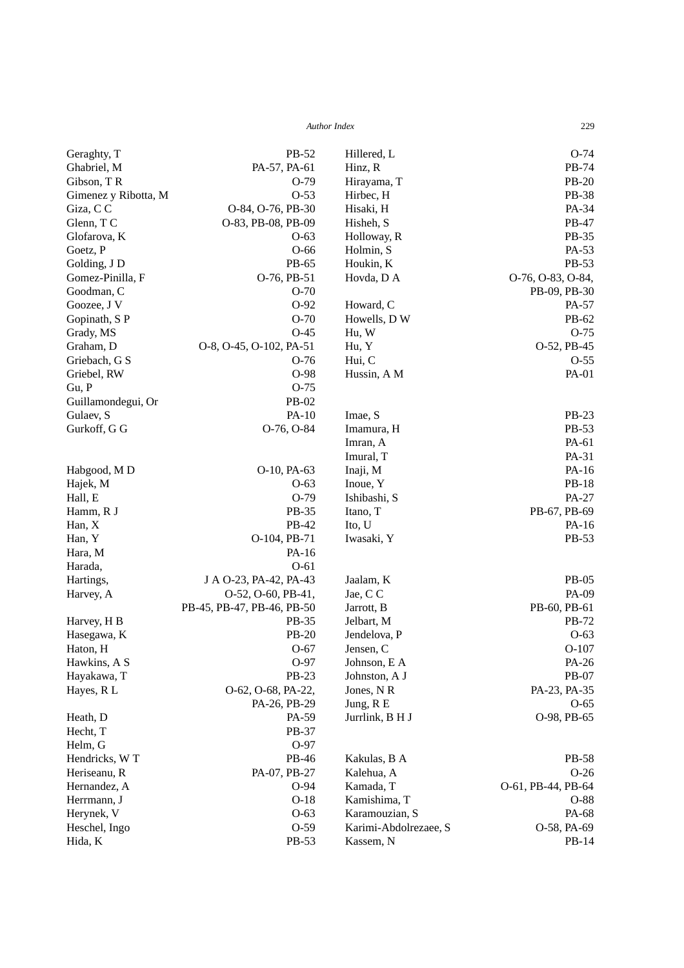| Geraghty, T          | PB-52                      | Hillered, L           | $O-74$             |
|----------------------|----------------------------|-----------------------|--------------------|
| Ghabriel, M          | PA-57, PA-61               | Hinz, R               | PB-74              |
| Gibson, TR           | $O-79$                     | Hirayama, T           | <b>PB-20</b>       |
| Gimenez y Ribotta, M | $O-53$                     | Hirbec, H             | <b>PB-38</b>       |
| Giza, CC             | O-84, O-76, PB-30          | Hisaki, H             | PA-34              |
| Glenn, TC            | O-83, PB-08, PB-09         | Hisheh, S             | PB-47              |
| Glofarova, K         | $O-63$                     | Holloway, R           | PB-35              |
| Goetz, P             | $O-66$                     | Holmin, S             | PA-53              |
| Golding, J D         | PB-65                      | Houkin, K             | PB-53              |
| Gomez-Pinilla, F     | O-76, PB-51                | Hovda, D A            | O-76, O-83, O-84,  |
| Goodman, C           | $O-70$                     |                       | PB-09, PB-30       |
| Goozee, J V          | $O-92$                     | Howard, C             | PA-57              |
| Gopinath, SP         | $O-70$                     | Howells, DW           | PB-62              |
| Grady, MS            | $O-45$                     | Hu, W                 | $O-75$             |
| Graham, D            | O-8, O-45, O-102, PA-51    | Hu, Y                 | O-52, PB-45        |
| Griebach, G S        | $O-76$                     | Hui, C                | $O-55$             |
| Griebel, RW          | O-98                       | Hussin, A M           | PA-01              |
| Gu, P                | $O-75$                     |                       |                    |
| Guillamondegui, Or   | PB-02                      |                       |                    |
| Gulaev, S            | PA-10                      | Imae, S               | PB-23              |
| Gurkoff, G G         | O-76, O-84                 | Imamura, H            | PB-53              |
|                      |                            | Imran, A              | PA-61              |
|                      |                            | Imural, T             | PA-31              |
| Habgood, MD          | O-10, PA-63                | Inaji, M              | PA-16              |
| Hajek, M             | $O-63$                     | Inoue, Y              | <b>PB-18</b>       |
| Hall, E              | $O-79$                     | Ishibashi, S          | PA-27              |
| Hamm, R J            | PB-35                      | Itano, T              | PB-67, PB-69       |
| Han, X               | PB-42                      | Ito, U                | $PA-16$            |
| Han, Y               | O-104, PB-71               | Iwasaki, Y            | PB-53              |
| Hara, M              | PA-16                      |                       |                    |
| Harada,              | $O-61$                     |                       |                    |
| Hartings,            | J A O-23, PA-42, PA-43     | Jaalam, K             | <b>PB-05</b>       |
| Harvey, A            | O-52, O-60, PB-41,         | Jae, C C              | PA-09              |
|                      | PB-45, PB-47, PB-46, PB-50 | Jarrott, B            | PB-60, PB-61       |
| Harvey, H B          | PB-35                      | Jelbart, M            | PB-72              |
| Hasegawa, K          | PB-20                      | Jendelova, P          | $O-63$             |
| Haton, H             | $O-67$                     | Jensen, C             | $O-107$            |
| Hawkins, A S         | O-97                       | Johnson, E A          | PA-26              |
| Hayakawa, T          | PB-23                      | Johnston, A J         | PB-07              |
| Hayes, R L           | O-62, O-68, PA-22,         | Jones, NR             | PA-23, PA-35       |
|                      | PA-26, PB-29               | Jung, R E             | $O-65$             |
| Heath, D             | PA-59                      | Jurrlink, B H J       | O-98, PB-65        |
| Hecht, T             | PB-37                      |                       |                    |
| Helm, G              | $O-97$                     |                       |                    |
| Hendricks, W T       | PB-46                      | Kakulas, B A          | PB-58              |
| Heriseanu, R         | PA-07, PB-27               | Kalehua, A            | $O-26$             |
| Hernandez, A         | $O-94$                     | Kamada, T             | O-61, PB-44, PB-64 |
| Herrmann, J          | $O-18$                     | Kamishima, T          | $O-88$             |
| Herynek, V           | $O-63$                     | Karamouzian, S        | PA-68              |
| Heschel, Ingo        | $O-59$                     | Karimi-Abdolrezaee, S | O-58, PA-69        |
| Hida, K              | PB-53                      | Kassem, N             | PB-14              |
|                      |                            |                       |                    |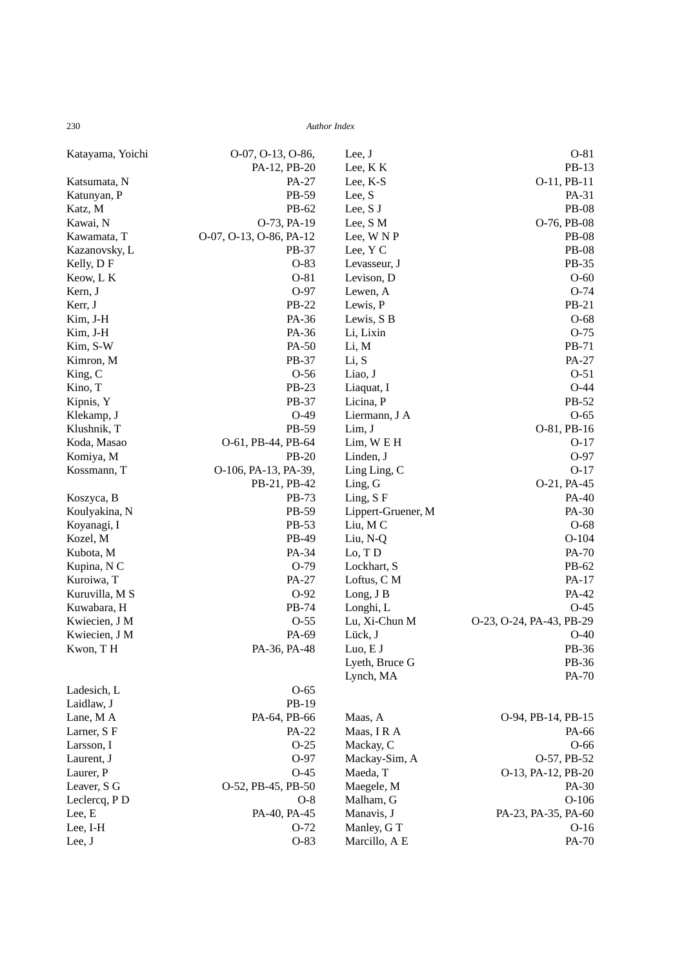| Katayama, Yoichi | O-07, O-13, O-86,       | Lee, J             | $O-81$                   |
|------------------|-------------------------|--------------------|--------------------------|
|                  | PA-12, PB-20            | Lee, KK            | PB-13                    |
| Katsumata, N     | PA-27                   | Lee, K-S           | O-11, PB-11              |
| Katunyan, P      | PB-59                   | Lee, S             | PA-31                    |
| Katz, M          | PB-62                   | Lee, S J           | <b>PB-08</b>             |
| Kawai, N         | O-73, PA-19             | Lee, S M           | O-76, PB-08              |
| Kawamata, T      | O-07, O-13, O-86, PA-12 | Lee, WNP           | <b>PB-08</b>             |
| Kazanovsky, L    | PB-37                   | Lee, Y C           | <b>PB-08</b>             |
| Kelly, DF        | $O-83$                  | Levasseur, J       | PB-35                    |
| Keow, L K        | $O-81$                  | Levison, D         | $O-60$                   |
| Kern, J          | O-97                    | Lewen, A           | $O-74$                   |
| Kerr, J          | PB-22                   | Lewis, P           | PB-21                    |
| Kim, J-H         | PA-36                   | Lewis, S B         | $O-68$                   |
| Kim, J-H         | PA-36                   | Li, Lixin          | $O-75$                   |
| Kim, S-W         | PA-50                   | Li, M              | PB-71                    |
| Kimron, M        | PB-37                   | Li, S              | PA-27                    |
| King, C          | $O-56$                  | Liao, J            | $O-51$                   |
| Kino, T          | PB-23                   | Liaquat, I         | $O-44$                   |
| Kipnis, Y        | PB-37                   | Licina, P          | PB-52                    |
| Klekamp, J       | $O-49$                  | Liermann, J A      | $O-65$                   |
| Klushnik, T      | PB-59                   | Lim, J             | O-81, PB-16              |
| Koda, Masao      | O-61, PB-44, PB-64      | $Lim, W \to H$     | $O-17$                   |
| Komiya, M        | <b>PB-20</b>            | Linden, J          | O-97                     |
| Kossmann, T      | O-106, PA-13, PA-39,    | Ling Ling, C       | $O-17$                   |
|                  | PB-21, PB-42            | Ling, G            | O-21, PA-45              |
| Koszyca, B       | PB-73                   | Ling, S F          | PA-40                    |
| Koulyakina, N    | PB-59                   | Lippert-Gruener, M | PA-30                    |
| Koyanagi, I      | PB-53                   | Liu, MC            | $O-68$                   |
| Kozel, M         | PB-49                   | Liu, N-Q           | $O-104$                  |
| Kubota, M        | PA-34                   | Lo, TD             | PA-70                    |
| Kupina, N C      | $O-79$                  | Lockhart, S        | PB-62                    |
| Kuroiwa, T       | PA-27                   | Loftus, C M        | PA-17                    |
| Kuruvilla, M S   | $O-92$                  | Long, J B          | PA-42                    |
| Kuwabara, H      | PB-74                   | Longhi, L          | $O-45$                   |
| Kwiecien, J M    | $O-55$                  | Lu, Xi-Chun M      | O-23, O-24, PA-43, PB-29 |
| Kwiecien, J M    | PA-69                   | Lück, J            | $O-40$                   |
| Kwon, TH         | PA-36, PA-48            | Luo, E J           | PB-36                    |
|                  |                         | Lyeth, Bruce G     | PB-36                    |
|                  |                         | Lynch, MA          | PA-70                    |
| Ladesich, L      | $O-65$                  |                    |                          |
| Laidlaw, J       | PB-19                   |                    |                          |
| Lane, M A        | PA-64, PB-66            | Maas, A            | O-94, PB-14, PB-15       |
| Larner, S F      | PA-22                   | Maas, IRA          | PA-66                    |
| Larsson, I       | $O-25$                  | Mackay, C          | $O-66$                   |
| Laurent, J       | $O-97$                  | Mackay-Sim, A      | O-57, PB-52              |
| Laurer, P        | $O-45$                  | Maeda, T           | O-13, PA-12, PB-20       |
| Leaver, S G      | O-52, PB-45, PB-50      | Maegele, M         | PA-30                    |
| Leclercq, PD     | $O-8$                   | Malham, G          | $O-106$                  |
| Lee, E           | PA-40, PA-45            | Manavis, J         | PA-23, PA-35, PA-60      |
| Lee, I-H         | $O-72$                  | Manley, G T        | $O-16$                   |
| Lee, $J$         | $O-83$                  | Marcillo, A E      | PA-70                    |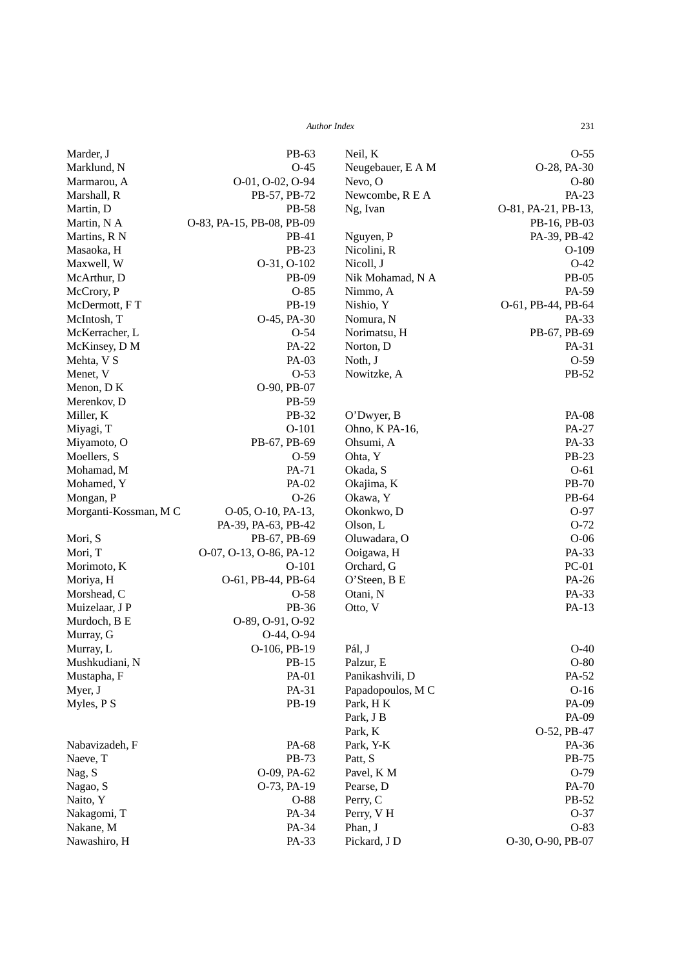| <b>Author Index</b> | 231 |
|---------------------|-----|
|                     |     |

| Marder, J             | PB-63                     | Neil, K           | $O-55$              |
|-----------------------|---------------------------|-------------------|---------------------|
| Marklund, N           | $O-45$                    | Neugebauer, E A M | O-28, PA-30         |
| Marmarou, A           | O-01, O-02, O-94          | Nevo, O           | $O-80$              |
| Marshall, R           | PB-57, PB-72              | Newcombe, R E A   | PA-23               |
| Martin, D             | PB-58                     | Ng, Ivan          | O-81, PA-21, PB-13, |
| Martin, N A           | O-83, PA-15, PB-08, PB-09 |                   | PB-16, PB-03        |
| Martins, R N          | PB-41                     | Nguyen, P         | PA-39, PB-42        |
| Masaoka, H            | PB-23                     | Nicolini, R       | $O-109$             |
| Maxwell, W            | O-31, O-102               | Nicoll, J         | $O-42$              |
| McArthur, D           | PB-09                     | Nik Mohamad, N A  | PB-05               |
| McCrory, P            | $O-85$                    | Nimmo, A          | PA-59               |
| McDermott, FT         | PB-19                     | Nishio, Y         | O-61, PB-44, PB-64  |
| McIntosh, T           | O-45, PA-30               | Nomura, N         | PA-33               |
| McKerracher, L        | $O-54$                    | Norimatsu, H      | PB-67, PB-69        |
| McKinsey, D M         | PA-22                     | Norton, D         | PA-31               |
| Mehta, V S            | PA-03                     | Noth, J           | $O-59$              |
| Menet, V              | $O-53$                    | Nowitzke, A       | PB-52               |
| Menon, DK             | O-90, PB-07               |                   |                     |
| Merenkov, D           | PB-59                     |                   |                     |
| Miller, K             | PB-32                     | O'Dwyer, B        | <b>PA-08</b>        |
| Miyagi, T             | $O-101$                   | Ohno, K PA-16,    | PA-27               |
| Miyamoto, O           | PB-67, PB-69              | Ohsumi, A         | PA-33               |
| Moellers, S           | $O-59$                    | Ohta, Y           | PB-23               |
| Mohamad, M            | PA-71                     | Okada, S          | $O-61$              |
| Mohamed, Y            | PA-02                     | Okajima, K        | <b>PB-70</b>        |
| Mongan, P             | $O-26$                    | Okawa, Y          | PB-64               |
| Morganti-Kossman, M C | O-05, O-10, PA-13,        | Okonkwo, D        | O-97                |
|                       | PA-39, PA-63, PB-42       | Olson, L          | $O-72$              |
| Mori, S               | PB-67, PB-69              | Oluwadara, O      | $O-06$              |
| Mori, T               | O-07, O-13, O-86, PA-12   | Ooigawa, H        | PA-33               |
| Morimoto, K           | $O-101$                   | Orchard, G        | $PC-01$             |
| Moriya, H             | O-61, PB-44, PB-64        | O'Steen, B E      | PA-26               |
| Morshead, C           | $O-58$                    | Otani, N          | PA-33               |
| Muizelaar, J P        | PB-36                     | Otto, V           | PA-13               |
| Murdoch, B E          | O-89, O-91, O-92          |                   |                     |
| Murray, G             | O-44, O-94                |                   |                     |
| Murray, L             | O-106, PB-19              | Pál, J            | $O-40$              |
| Mushkudiani, N        | PB-15                     | Palzur, E         | $O-80$              |
| Mustapha, F           | PA-01                     | Panikashvili, D   | PA-52               |
| Myer, J               | PA-31                     | Papadopoulos, M C | $O-16$              |
| Myles, PS             | PB-19                     | Park, HK          | PA-09               |
|                       |                           | Park, J B         | PA-09               |
|                       |                           | Park, K           | O-52, PB-47         |
| Nabavizadeh, F        | PA-68                     | Park, Y-K         | PA-36               |
| Naeve, T              | PB-73                     | Patt, S           | PB-75               |
| Nag, S                | O-09, PA-62               | Pavel, K M        | $O-79$              |
| Nagao, S              | O-73, PA-19               | Pearse, D         | PA-70               |
| Naito, Y              | O-88                      | Perry, C          | PB-52               |
| Nakagomi, T           | PA-34                     | Perry, VH         | $O-37$              |
| Nakane, M             | PA-34                     | Phan, J           | O-83                |
| Nawashiro, H          | PA-33                     | Pickard, J D      | O-30, O-90, PB-07   |
|                       |                           |                   |                     |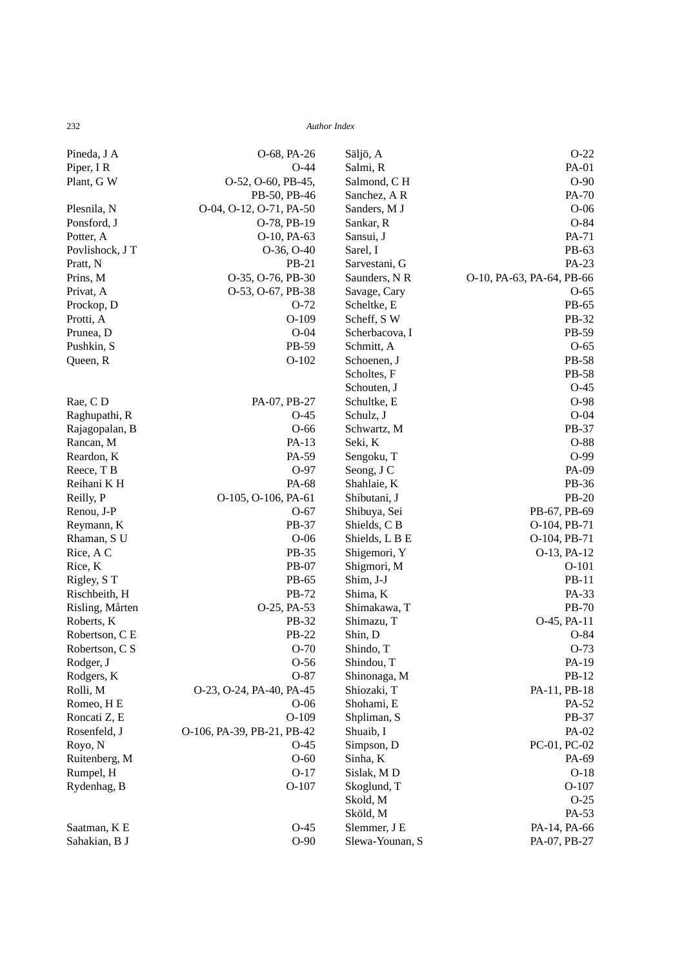| Pineda, J A     | O-68, PA-26                | Säljö, A        | $O-22$                    |
|-----------------|----------------------------|-----------------|---------------------------|
| Piper, IR       | $O-44$                     | Salmi, R        | PA-01                     |
| Plant, G W      | O-52, O-60, PB-45,         | Salmond, CH     | $O-90$                    |
|                 | PB-50, PB-46               | Sanchez, AR     | PA-70                     |
| Plesnila, N     | O-04, O-12, O-71, PA-50    | Sanders, M J    | $O-06$                    |
| Ponsford, J     | O-78, PB-19                | Sankar, R       | $O-84$                    |
| Potter, A       | O-10, PA-63                | Sansui, J       | PA-71                     |
| Povlishock, J T | O-36, O-40                 | Sarel, I        | PB-63                     |
| Pratt, N        | PB-21                      | Sarvestani, G   | PA-23                     |
| Prins, M        | O-35, O-76, PB-30          | Saunders, N R   | O-10, PA-63, PA-64, PB-66 |
| Privat, A       | O-53, O-67, PB-38          | Savage, Cary    | $O-65$                    |
| Prockop, D      | $O-72$                     | Scheltke, E     | PB-65                     |
| Protti, A       | $O-109$                    | Scheff, SW      | PB-32                     |
| Prunea, D       | $O-04$                     | Scherbacova, I  | PB-59                     |
| Pushkin, S      | PB-59                      | Schmitt, A      | $O-65$                    |
| Queen, R        | $O-102$                    | Schoenen, J     | <b>PB-58</b>              |
|                 |                            | Scholtes, F     | PB-58                     |
|                 |                            | Schouten, J     | $O-45$                    |
| Rae, CD         | PA-07, PB-27               | Schultke, E     | O-98                      |
| Raghupathi, R   | $O-45$                     | Schulz, J       | $O-04$                    |
| Rajagopalan, B  | $O-66$                     | Schwartz, M     | PB-37                     |
| Rancan, M       | PA-13                      | Seki, K         | O-88                      |
| Reardon, K      | PA-59                      | Sengoku, T      | $O-99$                    |
| Reece, T B      | O-97                       | Seong, J C      | PA-09                     |
| Reihani KH      | PA-68                      | Shahlaie, K     | PB-36                     |
| Reilly, P       | O-105, O-106, PA-61        | Shibutani, J    | <b>PB-20</b>              |
| Renou, J-P      | $O-67$                     | Shibuya, Sei    | PB-67, PB-69              |
| Reymann, K      | PB-37                      | Shields, CB     | O-104, PB-71              |
| Rhaman, S U     | $O-06$                     | Shields, L B E  | O-104, PB-71              |
| Rice, A C       | PB-35                      | Shigemori, Y    | O-13, PA-12               |
| Rice, K         | PB-07                      | Shigmori, M     | $O-101$                   |
| Rigley, ST      | PB-65                      | Shim, J-J       | PB-11                     |
| Rischbeith, H   | PB-72                      | Shima, K        | PA-33                     |
| Risling, Mårten | O-25, PA-53                | Shimakawa, T    | <b>PB-70</b>              |
| Roberts, K      | PB-32                      | Shimazu, T      | O-45, PA-11               |
| Robertson, C E  | PB-22                      | Shin, D         | $O-84$                    |
| Robertson, C S  | $O-70$                     | Shindo, T       | $O-73$                    |
| Rodger, J       | $O-56$                     | Shindou, T      | PA-19                     |
| Rodgers, K      | $O-87$                     | Shinonaga, M    | PB-12                     |
| Rolli, M        | O-23, O-24, PA-40, PA-45   | Shiozaki, T     | PA-11, PB-18              |
| Romeo, HE       | $O-06$                     | Shohami, E      | PA-52                     |
| Roncati Z, E    | $O-109$                    | Shpliman, S     | PB-37                     |
| Rosenfeld, J    | O-106, PA-39, PB-21, PB-42 | Shuaib, I       | PA-02                     |
| Royo, N         | $O-45$                     | Simpson, D      | PC-01, PC-02              |
| Ruitenberg, M   | $O-60$                     | Sinha, K        | PA-69                     |
| Rumpel, H       | $O-17$                     | Sislak, MD      | $O-18$                    |
| Rydenhag, B     | $O-107$                    | Skoglund, T     | $O-107$                   |
|                 |                            | Skold, M        | $O-25$                    |
|                 |                            | Sköld, M        | PA-53                     |
| Saatman, K E    | $O-45$                     | Slemmer, J E    | PA-14, PA-66              |
| Sahakian, B J   | $O-90$                     | Slewa-Younan, S | PA-07, PB-27              |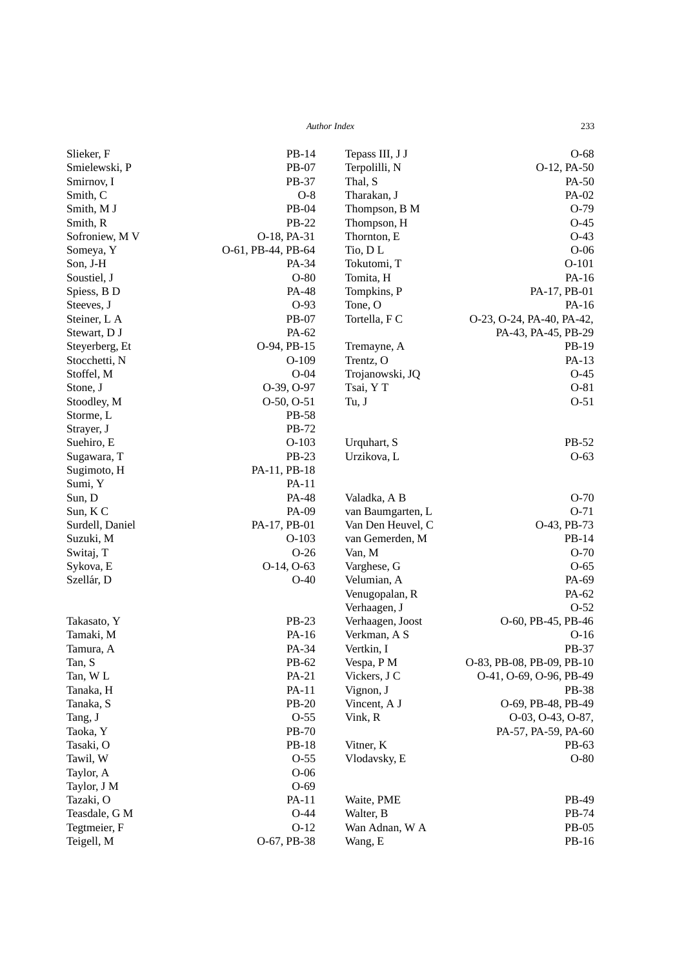| Slieker, F      | PB-14              | Tepass III, J J   | $O-68$                    |
|-----------------|--------------------|-------------------|---------------------------|
| Smielewski, P   | PB-07              | Terpolilli, N     | O-12, PA-50               |
| Smirnov, I      | PB-37              | Thal, S           | PA-50                     |
| Smith, C        | $O-8$              | Tharakan, J       | PA-02                     |
| Smith, M J      | PB-04              | Thompson, B M     | $O-79$                    |
| Smith, R        | PB-22              | Thompson, H       | $O-45$                    |
| Sofroniew, M V  | O-18, PA-31        | Thornton, E       | $O-43$                    |
| Someya, Y       | O-61, PB-44, PB-64 | Tio, DL           | $O-06$                    |
| Son, J-H        | PA-34              | Tokutomi, T       | $O-101$                   |
| Soustiel, J     | $O-80$             | Tomita, H         | PA-16                     |
| Spiess, B D     | PA-48              | Tompkins, P       | PA-17, PB-01              |
| Steeves, J      | $O-93$             | Tone, O           | PA-16                     |
| Steiner, L A    | PB-07              | Tortella, F C     | O-23, O-24, PA-40, PA-42, |
| Stewart, D J    | PA-62              |                   | PA-43, PA-45, PB-29       |
| Steyerberg, Et  | O-94, PB-15        | Tremayne, A       | PB-19                     |
| Stocchetti, N   | $O-109$            | Trentz, O         | $PA-13$                   |
| Stoffel, M      | $O-04$             | Trojanowski, JQ   | $O-45$                    |
| Stone, J        | O-39, O-97         | Tsai, Y T         | $O-81$                    |
| Stoodley, M     | $O-50$ , $O-51$    | Tu, J             | $O-51$                    |
| Storme, L       | <b>PB-58</b>       |                   |                           |
| Strayer, J      | <b>PB-72</b>       |                   |                           |
| Suehiro, E      | $O-103$            | Urquhart, S       | PB-52                     |
| Sugawara, T     | <b>PB-23</b>       | Urzikova, L       | $O-63$                    |
| Sugimoto, H     | PA-11, PB-18       |                   |                           |
| Sumi, Y         | PA-11              |                   |                           |
| Sun, D          | PA-48              | Valadka, A B      | $O-70$                    |
| Sun, K C        | PA-09              | van Baumgarten, L | $O-71$                    |
| Surdell, Daniel | PA-17, PB-01       | Van Den Heuvel, C | O-43, PB-73               |
| Suzuki, M       | $O-103$            | van Gemerden, M   | PB-14                     |
| Switaj, T       | $O-26$             | Van, M            | $O-70$                    |
| Sykova, E       | O-14, O-63         | Varghese, G       | $O-65$                    |
| Szellár, D      | $O-40$             | Velumian, A       | PA-69                     |
|                 |                    | Venugopalan, R    | PA-62                     |
|                 |                    | Verhaagen, J      | $O-52$                    |
| Takasato, Y     | <b>PB-23</b>       | Verhaagen, Joost  | O-60, PB-45, PB-46        |
| Tamaki, M       | PA-16              | Verkman, A S      | $O-16$                    |
| Tamura, A       | PA-34              | Vertkin, I        | PB-37                     |
| Tan, S          | PB-62              | Vespa, PM         | O-83, PB-08, PB-09, PB-10 |
| Tan, WL         | PA-21              | Vickers, J C      | O-41, O-69, O-96, PB-49   |
| Tanaka, H       | PA-11              | Vignon, J         | PB-38                     |
| Tanaka, S       | $PB-20$            | Vincent, A J      | O-69, PB-48, PB-49        |
| Tang, J         | $O-55$             | Vink, R           | O-03, O-43, O-87,         |
| Taoka, Y        | PB-70              |                   | PA-57, PA-59, PA-60       |
| Tasaki, O       | PB-18              | Vitner, K         | PB-63                     |
| Tawil, W        | $O-55$             | Vlodavsky, E      | $O-80$                    |
| Taylor, A       | $O-06$             |                   |                           |
| Taylor, J M     | $O-69$             |                   |                           |
| Tazaki, O       | PA-11              | Waite, PME        | PB-49                     |
| Teasdale, G M   | $O-44$             | Walter, B         | PB-74                     |
| Tegtmeier, F    | $O-12$             | Wan Adnan, W A    | PB-05                     |
| Teigell, M      | O-67, PB-38        | Wang, E           | PB-16                     |